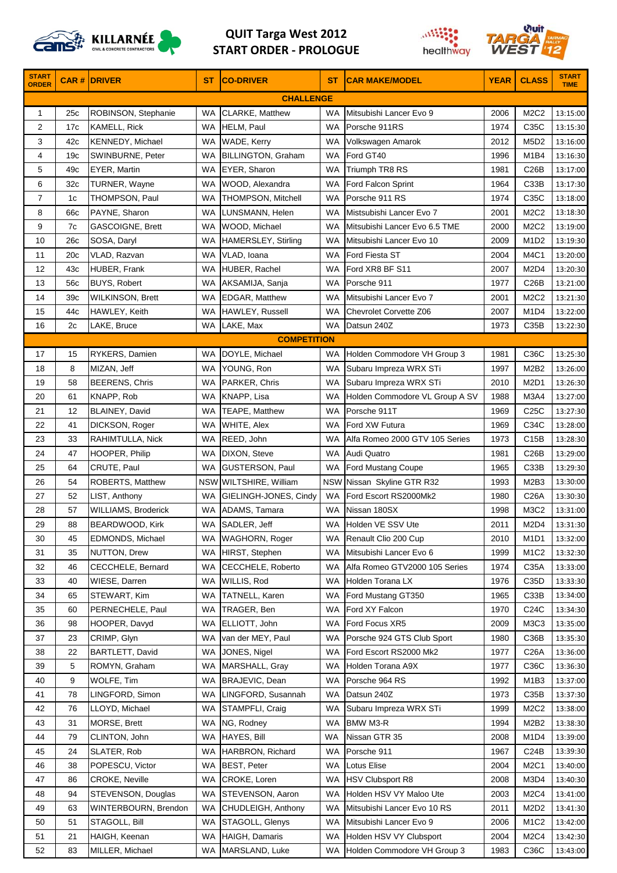

## **QUIT Targa West 2012 START ORDER ‐ PROLOGUE**





| <b>START</b><br><b>ORDER</b> |                 | <b>CAR # DRIVER</b>     | <b>ST</b> | <b>CO-DRIVER</b>          | <b>ST</b> | <b>CAR MAKE/MODEL</b>          | <b>YEAR</b> | <b>CLASS</b>                  | <b>START</b><br><b>TIME</b> |
|------------------------------|-----------------|-------------------------|-----------|---------------------------|-----------|--------------------------------|-------------|-------------------------------|-----------------------------|
|                              |                 |                         |           | <b>CHALLENGE</b>          |           |                                |             |                               |                             |
| 1                            | 25c             | ROBINSON, Stephanie     | WA        | CLARKE, Matthew           | WA        | Mitsubishi Lancer Evo 9        | 2006        | M2C2                          | 13:15:00                    |
| 2                            | 17 <sub>c</sub> | <b>KAMELL, Rick</b>     | WA        | HELM, Paul                | <b>WA</b> | Porsche 911RS                  | 1974        | C35C                          | 13:15:30                    |
| 3                            | 42c             | <b>KENNEDY, Michael</b> | WA        | WADE, Kerry               | WA        | Volkswagen Amarok              | 2012        | M5D2                          | 13:16:00                    |
| 4                            | 19 <sub>c</sub> | SWINBURNE, Peter        | WA        | <b>BILLINGTON, Graham</b> | WA        | Ford GT40                      | 1996        | M1B4                          | 13:16:30                    |
| 5                            | 49c             | EYER, Martin            | WA        | EYER, Sharon              | WA        | Triumph TR8 RS                 | 1981        | C26B                          | 13:17:00                    |
| 6                            | 32 <sub>c</sub> | TURNER, Wayne           | WA        | WOOD, Alexandra           | WA        | Ford Falcon Sprint             | 1964        | C33B                          | 13:17:30                    |
| $\overline{7}$               | 1c              | THOMPSON, Paul          | WA        | <b>THOMPSON, Mitchell</b> | WA        | Porsche 911 RS                 | 1974        | C35C                          | 13:18:00                    |
| 8                            | 66c             | PAYNE, Sharon           | WA        | LUNSMANN, Helen           | WA        | Mistsubishi Lancer Evo 7       | 2001        | M2C2                          | 13:18:30                    |
| 9                            | 7c              | GASCOIGNE, Brett        | WA        | WOOD, Michael             | WA        | Mitsubishi Lancer Evo 6.5 TME  | 2000        | M2C2                          | 13:19:00                    |
| 10                           | 26c             | SOSA, Daryl             | WA        | HAMERSLEY, Stirling       | WA        | Mitsubishi Lancer Evo 10       | 2009        | M <sub>1</sub> D <sub>2</sub> | 13:19:30                    |
| 11                           | 20c             | VLAD, Razvan            | WA        | VLAD, Ioana               | WA        | Ford Fiesta ST                 | 2004        | M4C1                          | 13:20:00                    |
| 12                           | 43c             | <b>HUBER, Frank</b>     | WA        | HUBER, Rachel             | WA        | Ford XR8 BF S11                | 2007        | M <sub>2</sub> D <sub>4</sub> | 13:20:30                    |
| 13                           | 56c             | <b>BUYS, Robert</b>     | WA        | AKSAMIJA, Sanja           | WA        | Porsche 911                    | 1977        | C26B                          | 13:21:00                    |
| 14                           | 39с             | WILKINSON, Brett        | WA        | <b>EDGAR, Matthew</b>     | WA        | Mitsubishi Lancer Evo 7        | 2001        | M2C2                          | 13:21:30                    |
| 15                           | 44c             | HAWLEY, Keith           | WA        | HAWLEY, Russell           | <b>WA</b> | Chevrolet Corvette Z06         | 2007        | M <sub>1D4</sub>              | 13:22:00                    |
| 16                           | 2c              | LAKE, Bruce             | WA.       | LAKE, Max                 | <b>WA</b> | Datsun 240Z                    | 1973        | C35B                          | 13:22:30                    |
|                              |                 |                         |           | <b>COMPETITION</b>        |           |                                |             |                               |                             |
| 17                           | 15              | RYKERS, Damien          | WA        | DOYLE, Michael            | WA        | Holden Commodore VH Group 3    | 1981        | C36C                          | 13:25:30                    |
| 18                           | 8               | MIZAN, Jeff             | <b>WA</b> | YOUNG, Ron                | WA        | Subaru Impreza WRX STi         | 1997        | M2B2                          | 13:26:00                    |
| 19                           | 58              | <b>BEERENS, Chris</b>   | WA        | PARKER, Chris             | WA        | Subaru Impreza WRX STi         | 2010        | M2D1                          | 13:26:30                    |
| 20                           | 61              | KNAPP, Rob              | WA        | KNAPP, Lisa               | WA        | Holden Commodore VL Group A SV | 1988        | M3A4                          | 13:27:00                    |
| 21                           | 12              | BLAINEY, David          | WA        | TEAPE, Matthew            | WA        | Porsche 911T                   | 1969        | C25C                          | 13:27:30                    |
| 22                           | 41              | DICKSON, Roger          | WA        | WHITE, Alex               | WA        | Ford XW Futura                 | 1969        | C34C                          | 13:28:00                    |
| 23                           | 33              | RAHIMTULLA, Nick        | WA        | REED, John                | <b>WA</b> | Alfa Romeo 2000 GTV 105 Series | 1973        | C15B                          | 13:28:30                    |
| 24                           | 47              | HOOPER, Philip          | WA        | DIXON, Steve              | WA        | Audi Quatro                    | 1981        | C26B                          | 13:29:00                    |
| 25                           | 64              | CRUTE, Paul             | <b>WA</b> | <b>GUSTERSON, Paul</b>    | WA        | Ford Mustang Coupe             | 1965        | C33B                          | 13:29:30                    |
| 26                           | 54              | <b>ROBERTS, Matthew</b> |           | NSW WILTSHIRE, William    |           | NSW Nissan Skyline GTR R32     | 1993        | M2B3                          | 13:30:00                    |
| 27                           | 52              | LIST, Anthony           | WA        | GIELINGH-JONES, Cindy     | WA        | Ford Escort RS2000Mk2          | 1980        | C26A                          | 13:30:30                    |
| 28                           | 57              | WILLIAMS, Broderick     | WA        | ADAMS, Tamara             | WA        | Nissan 180SX                   | 1998        | M3C2                          | 13:31:00                    |
| 29                           | 88              | BEARDWOOD, Kirk         | WA        | SADLER, Jeff              |           | WA Holden VE SSV Ute           | 2011        | M <sub>2</sub> D <sub>4</sub> | 13:31:30                    |
| 30                           | 45              | EDMONDS, Michael        | WA        | <b>WAGHORN, Roger</b>     | WA        | Renault Clio 200 Cup           | 2010        | M <sub>1</sub> D <sub>1</sub> | 13:32:00                    |
| 31                           | 35              | NUTTON, Drew            | WA        | HIRST, Stephen            | <b>WA</b> | Mitsubishi Lancer Evo 6        | 1999        | M <sub>1</sub> C <sub>2</sub> | 13:32:30                    |
| 32                           | 46              | CECCHELE, Bernard       | WA        | CECCHELE, Roberto         | WA        | Alfa Romeo GTV2000 105 Series  | 1974        | C35A                          | 13:33:00                    |
| 33                           | 40              | WIESE, Darren           | WA        | WILLIS, Rod               | WA        | Holden Torana LX               | 1976        | C35D                          | 13:33:30                    |
| 34                           | 65              | STEWART, Kim            | WA        | <b>TATNELL, Karen</b>     | WA        | Ford Mustang GT350             | 1965        | C33B                          | 13:34:00                    |
| 35                           | 60              | PERNECHELE, Paul        | WA        | TRAGER, Ben               | WA        | Ford XY Falcon                 | 1970        | C24C                          | 13:34:30                    |
| 36                           | 98              | HOOPER, Davyd           | WA        | ELLIOTT, John             | WA        | Ford Focus XR5                 | 2009        | M3C3                          | 13:35:00                    |
| 37                           | 23              | CRIMP, Glyn             | WA        | van der MEY, Paul         | WA        | Porsche 924 GTS Club Sport     | 1980        | C36B                          | 13:35:30                    |
| 38                           | 22              | BARTLETT, David         | WA        | JONES, Nigel              | WA        | Ford Escort RS2000 Mk2         | 1977        | C26A                          | 13:36:00                    |
| 39                           | 5               | ROMYN, Graham           | WA        | MARSHALL, Gray            | WA        | Holden Torana A9X              | 1977        | C36C                          | 13:36:30                    |
| 40                           | 9               | <b>WOLFE, Tim</b>       | WA        | BRAJEVIC, Dean            | WA        | Porsche 964 RS                 | 1992        | M <sub>1</sub> B <sub>3</sub> | 13:37:00                    |
| 41                           | 78              | LINGFORD, Simon         | WA        | LINGFORD, Susannah        | WA        | Datsun 240Z                    | 1973        | C35B                          | 13:37:30                    |
| 42                           | 76              | LLOYD, Michael          | WA        | STAMPFLI, Craig           | WA        | Subaru Impreza WRX STi         | 1999        | M2C2                          | 13:38:00                    |
| 43                           | 31              | MORSE, Brett            | WA        | NG, Rodney                | WA        | <b>BMW M3-R</b>                | 1994        | M <sub>2</sub> B <sub>2</sub> | 13:38:30                    |
| 44                           | 79              | CLINTON, John           | <b>WA</b> | <b>HAYES, Bill</b>        | WA        | Nissan GTR 35                  | 2008        | M <sub>1</sub> D <sub>4</sub> | 13:39:00                    |
| 45                           | 24              | SLATER, Rob             | WA        | HARBRON, Richard          | WA        | Porsche 911                    | 1967        | C <sub>24B</sub>              | 13:39:30                    |
| 46                           | 38              | POPESCU, Victor         | WA        | <b>BEST, Peter</b>        | WA        | Lotus Elise                    | 2004        | <b>M2C1</b>                   | 13:40:00                    |
| 47                           | 86              | <b>CROKE, Neville</b>   | WA        | CROKE, Loren              | WA        | <b>HSV Clubsport R8</b>        | 2008        | M3D4                          | 13:40:30                    |
| 48                           | 94              | STEVENSON, Douglas      | WA        | STEVENSON, Aaron          | WA        | Holden HSV VY Maloo Ute        | 2003        | M2C4                          | 13:41:00                    |
| 49                           | 63              | WINTERBOURN, Brendon    | WA        | CHUDLEIGH, Anthony        | WA        | Mitsubishi Lancer Evo 10 RS    | 2011        | M2D2                          | 13:41:30                    |
| 50                           | 51              | STAGOLL, Bill           | <b>WA</b> | STAGOLL, Glenys           | WA        | Mitsubishi Lancer Evo 9        | 2006        | M <sub>1</sub> C <sub>2</sub> | 13:42:00                    |
| 51                           | 21              | HAIGH, Keenan           | WA        | HAIGH, Damaris            | WA        | Holden HSV VY Clubsport        | 2004        | M <sub>2</sub> C <sub>4</sub> | 13:42:30                    |
| 52                           | 83              | MILLER, Michael         | WA        | MARSLAND, Luke            | WA        | Holden Commodore VH Group 3    | 1983        | C36C                          | 13:43:00                    |